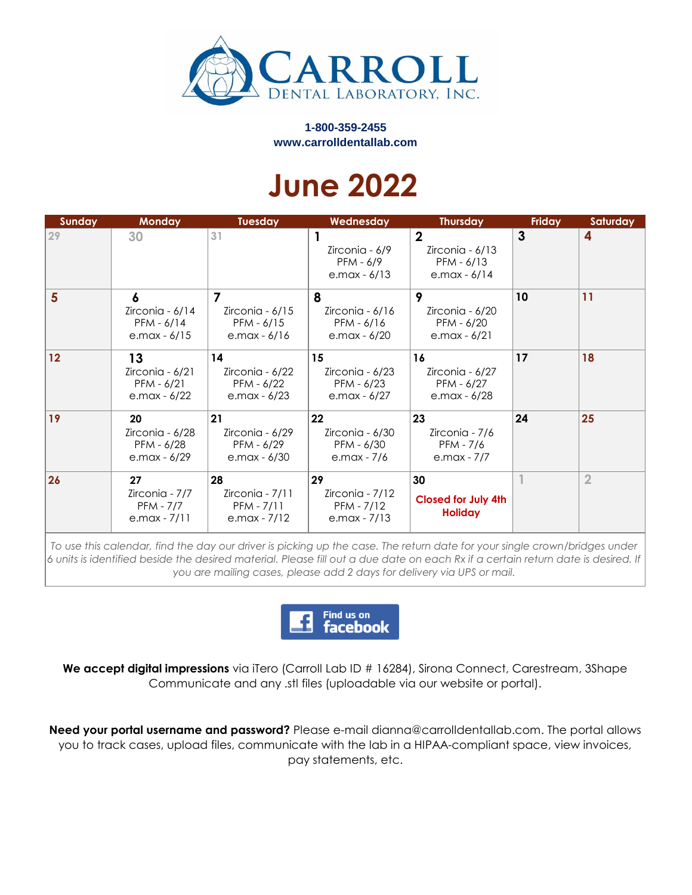

**1-800-359-2455 www.carrolldentallab.com**

## **June 2022**

| Sunday | <b>Monday</b>                                            | <b>Tuesday</b>                                                         | Wednesday                                             | <b>Thursday</b>                                                   | <b>Friday</b>   | Saturday       |
|--------|----------------------------------------------------------|------------------------------------------------------------------------|-------------------------------------------------------|-------------------------------------------------------------------|-----------------|----------------|
| 29     | 30                                                       | 31                                                                     | Zirconia - 6/9<br>PFM - 6/9<br>e.max $-6/13$          | $\mathbf{2}$<br>Zirconia - 6/13<br>$PFM - 6/13$<br>e.max - $6/14$ | 3               | 4              |
| 5      | 6<br>Zirconia - 6/14<br>PFM - 6/14<br>e.max - $6/15$     | $\overline{7}$<br>Zirconia - 6/15<br>$PFM - 6/15$<br>$e$ .max - $6/16$ | 8<br>Zirconia - 6/16<br>PFM - 6/16<br>e.max - 6/20    | 9<br>Zirconia - 6/20<br>PFM - 6/20<br>e.max - $6/21$              | 10 <sup>°</sup> | 11             |
| 12     | 13<br>Zirconia - 6/21<br>$PFM - 6/21$<br>e.max - $6/22$  | 14<br>Zirconia - 6/22<br>PFM - 6/22<br>e.max - 6/23                    | 15<br>Zirconia - 6/23<br>PFM - 6/23<br>e.max $-6/27$  | 16<br>Zirconia - 6/27<br>PFM - 6/27<br>e.max - 6/28               | 17              | 18             |
| 19     | 20<br>Zirconia - 6/28<br>PFM - 6/28<br>e.max - 6/29      | 21<br>Zirconia - 6/29<br>PFM - 6/29<br>$e$ .max - $6/30$               | 22<br>Zirconia - 6/30<br>PFM - 6/30<br>e.max - 7/6    | 23<br>Zirconia - 7/6<br>PFM - 7/6<br>e.max - 7/7                  | 24              | 25             |
| 26     | 27<br>Zirconia - 7/7<br><b>PFM - 7/7</b><br>e.max - 7/11 | 28<br>Zirconia - $7/11$<br>PFM - 7/11<br>e.max - $7/12$                | 29<br>Zirconia - 7/12<br>PFM - 7/12<br>e.max - $7/13$ | 30<br><b>Closed for July 4th</b><br><b>Holiday</b>                |                 | $\overline{2}$ |

*To use this calendar, find the day our driver is picking up the case. The return date for your single crown/bridges under 6 units is identified beside the desired material. Please fill out a due date on each Rx if a certain return date is desired. If you are mailing cases, please add 2 days for delivery via UPS or mail.*



We accept digital impressions via iTero (Carroll Lab ID # 16284), Sirona Connect, Carestream, 3Shape Communicate and any .stl files (uploadable via our website or portal).

**Need your portal username and password?** Please e-mail dianna@carrolldentallab.com. The portal allows you to track cases, upload files, communicate with the lab in a HIPAA-compliant space, view invoices, pay statements, etc.